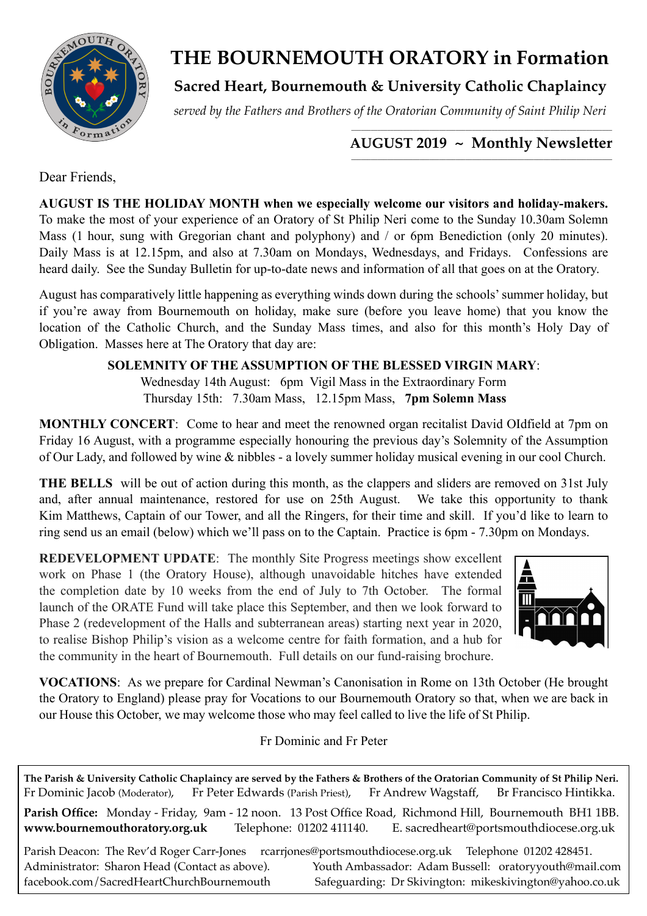

# **THE BOURNEMOUTH ORATORY in Formation**

**Sacred Heart, Bournemouth & University Catholic Chaplaincy**

*served by the Fathers and Brothers of the Oratorian Community of Saint Philip Neri*

### *\_\_\_\_\_\_\_\_\_\_\_\_\_\_\_\_\_\_\_\_\_\_\_\_\_\_\_\_\_\_\_\_\_\_\_\_\_\_\_\_\_\_\_\_\_\_\_\_\_\_\_\_\_\_\_\_\_\_\_\_\_\_\_\_\_\_\_\_\_\_\_\_\_\_\_\_\_\_\_\_*  **AUGUST 2019 ~ Monthly Newsletter**

Dear Friends,

**AUGUST IS THE HOLIDAY MONTH when we especially welcome our visitors and holiday-makers.**  To make the most of your experience of an Oratory of St Philip Neri come to the Sunday 10.30am Solemn Mass (1 hour, sung with Gregorian chant and polyphony) and / or 6pm Benediction (only 20 minutes). Daily Mass is at 12.15pm, and also at 7.30am on Mondays, Wednesdays, and Fridays. Confessions are heard daily. See the Sunday Bulletin for up-to-date news and information of all that goes on at the Oratory.

August has comparatively little happening as everything winds down during the schools' summer holiday, but if you're away from Bournemouth on holiday, make sure (before you leave home) that you know the location of the Catholic Church, and the Sunday Mass times, and also for this month's Holy Day of Obligation. Masses here at The Oratory that day are:

# **SOLEMNITY OF THE ASSUMPTION OF THE BLESSED VIRGIN MARY**:

Wednesday 14th August:6pm Vigil Mass in the Extraordinary Form Thursday 15th: 7.30am Mass, 12.15pm Mass, **7pm Solemn Mass**

**MONTHLY CONCERT**: Come to hear and meet the renowned organ recitalist David OIdfield at 7pm on Friday 16 August, with a programme especially honouring the previous day's Solemnity of the Assumption of Our Lady, and followed by wine & nibbles - a lovely summer holiday musical evening in our cool Church.

**THE BELLS** will be out of action during this month, as the clappers and sliders are removed on 31st July and, after annual maintenance, restored for use on 25th August. We take this opportunity to thank Kim Matthews, Captain of our Tower, and all the Ringers, for their time and skill. If you'd like to learn to ring send us an email (below) which we'll pass on to the Captain. Practice is 6pm - 7.30pm on Mondays.

**REDEVELOPMENT UPDATE**: The monthly Site Progress meetings show excellent work on Phase 1 (the Oratory House), although unavoidable hitches have extended the completion date by 10 weeks from the end of July to 7th October. The formal launch of the ORATE Fund will take place this September, and then we look forward to Phase 2 (redevelopment of the Halls and subterranean areas) starting next year in 2020, to realise Bishop Philip's vision as a welcome centre for faith formation, and a hub for the community in the heart of Bournemouth. Full details on our fund-raising brochure.



**VOCATIONS**: As we prepare for Cardinal Newman's Canonisation in Rome on 13th October (He brought the Oratory to England) please pray for Vocations to our Bournemouth Oratory so that, when we are back in our House this October, we may welcome those who may feel called to live the life of St Philip.

## Fr Dominic and Fr Peter

**The Parish & University Catholic Chaplaincy are served by the Fathers & Brothers of the Oratorian Community of St Philip Neri.** Fr Dominic Jacob (Moderator), Fr Peter Edwards (Parish Priest), Fr Andrew Wagstaff, Br Francisco Hintikka. **Parish Office:** Monday - Friday, 9am - 12 noon. 13 Post Office Road, Richmond Hill, Bournemouth BH1 1BB. **[www.bournemouthoratory.org.uk](http://www.bournemoithoratory.org.uk)** Telephone: 01202 411140. E. [sacredheart@portsmouthdiocese.org.uk](mailto:sacredheart@portsmouthdiocese.org.uk) Parish Deacon: The Rev'd Roger Carr-Jones [rcarrjones@portsmouthdiocese.org.uk](mailto:rcarrjones@portsmouthdiocese.org.uk) Telephone 01202 428451. Administrator: Sharon Head (Contact as above). Youth Ambassador: Adam Bussell: [oratoryyouth@mail.com](http://oratoryyouth.mail.com) [facebook.com/SacredHeartChurchBournemouth](http://facebook.com/SaccredHeartChurchBournemouth) Safeguarding: Dr Skivington: mikeskivington@yahoo.co.uk